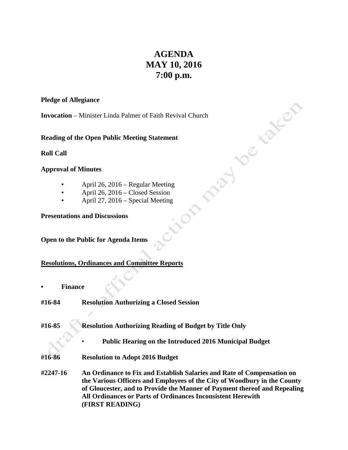# **AGENDA MAY 10, 2016 7:00 p.m.**

## **Pledge of Allegiance**

**Invocation** – Minister Linda Palmer of Faith Revival Church<br> **Reading of the Open Public Meeting Statement**<br> **Roll Call**<br> **Approval of Minutes**<br>
April 26, 20<sup>17</sup><br>
Apr<sup>il 2</sup>

**Reading of the Open Public Meeting Statement**

**Roll Call**

# **Approval of Minutes**

- April 26, 2016 Regular Meeting
- April 26, 2016 Closed Session
- April 27, 2016 Special Meeting

**Presentations and Discussions**

# **Open to the Public for Agenda Items**

# **Resolutions, Ordinances and Committee Reports**

- **• Finance**
- **#16-84 Resolution Authorizing a Closed Session**
- **#16-85 Resolution Authorizing Reading of Budget by Title Only**

• **Public Hearing on the Introduced 2016 Municipal Budget**

**#16-86 Resolution to Adopt 2016 Budget**

**#2247-16 An Ordinance to Fix and Establish Salaries and Rate of Compensation on the Various Officers and Employees of the City of Woodbury in the County of Gloucester, and to Provide the Manner of Payment thereof and Repealing All Ordinances or Parts of Ordinances Inconsistent Herewith (FIRST READING)**